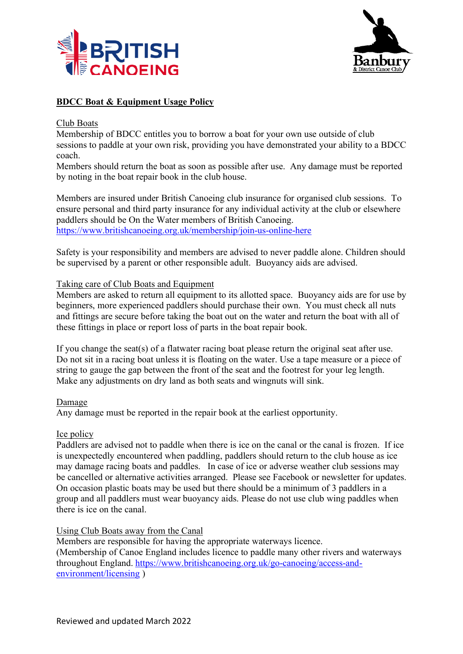



# **BDCC Boat & Equipment Usage Policy**

#### Club Boats

Membership of BDCC entitles you to borrow a boat for your own use outside of club sessions to paddle at your own risk, providing you have demonstrated your ability to a BDCC coach.

Members should return the boat as soon as possible after use. Any damage must be reported by noting in the boat repair book in the club house.

Members are insured under British Canoeing club insurance for organised club sessions. To ensure personal and third party insurance for any individual activity at the club or elsewhere paddlers should be On the Water members of British Canoeing. https://www.britishcanoeing.org.uk/membership/join-us-online-here

Safety is your responsibility and members are advised to never paddle alone. Children should be supervised by a parent or other responsible adult. Buoyancy aids are advised.

#### Taking care of Club Boats and Equipment

Members are asked to return all equipment to its allotted space. Buoyancy aids are for use by beginners, more experienced paddlers should purchase their own. You must check all nuts and fittings are secure before taking the boat out on the water and return the boat with all of these fittings in place or report loss of parts in the boat repair book.

If you change the seat(s) of a flatwater racing boat please return the original seat after use. Do not sit in a racing boat unless it is floating on the water. Use a tape measure or a piece of string to gauge the gap between the front of the seat and the footrest for your leg length. Make any adjustments on dry land as both seats and wingnuts will sink.

#### Damage

Any damage must be reported in the repair book at the earliest opportunity.

#### Ice policy

Paddlers are advised not to paddle when there is ice on the canal or the canal is frozen. If ice is unexpectedly encountered when paddling, paddlers should return to the club house as ice may damage racing boats and paddles. In case of ice or adverse weather club sessions may be cancelled or alternative activities arranged. Please see Facebook or newsletter for updates. On occasion plastic boats may be used but there should be a minimum of 3 paddlers in a group and all paddlers must wear buoyancy aids. Please do not use club wing paddles when there is ice on the canal.

## Using Club Boats away from the Canal

Members are responsible for having the appropriate waterways licence. (Membership of Canoe England includes licence to paddle many other rivers and waterways throughout England. https://www.britishcanoeing.org.uk/go-canoeing/access-andenvironment/licensing )